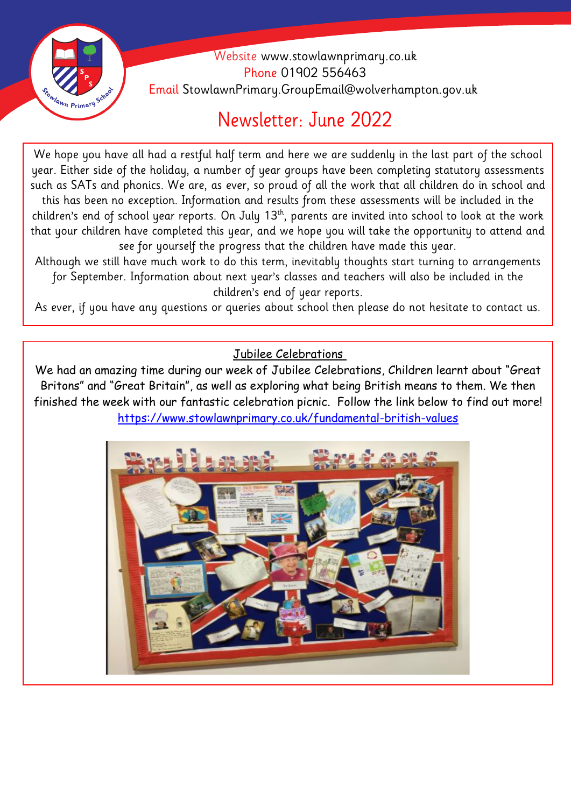

 Website [www.stowlawnprimary.co.uk](http://www.stowlawnprimary.co.uk/)  Phone 01902 556463 Email StowlawnPrimary.GroupEmail@wolverhampton.gov.uk

# Newsletter: June 2022

year. Either side of the holiday, a number of year groups have been completing statutory assessments We hope you have all had a restful half term and here we are suddenly in the last part of the school such as SATs and phonics. We are, as ever, so proud of all the work that all children do in school and this has been no exception. Information and results from these assessments will be included in the children's end of school year reports. On July 13<sup>th</sup>, parents are invited into school to look at the work that your children have completed this year, and we hope you will take the opportunity to attend and see for yourself the progress that the children have made this year.

Although we still have much work to do this term, inevitably thoughts start turning to arrangements for September. Information about next year's classes and teachers will also be included in the children's end of year reports.

As ever, if you have any questions or queries about school then please do not hesitate to contact us.

Jubilee Celebrations

We had an amazing time during our week of Jubilee Celebrations, Children learnt about "Great Britons" and "Great Britain", as well as exploring what being British means to them. We then finished the week with our fantastic celebration picnic. Follow the link below to find out more! <https://www.stowlawnprimary.co.uk/fundamental-british-values>

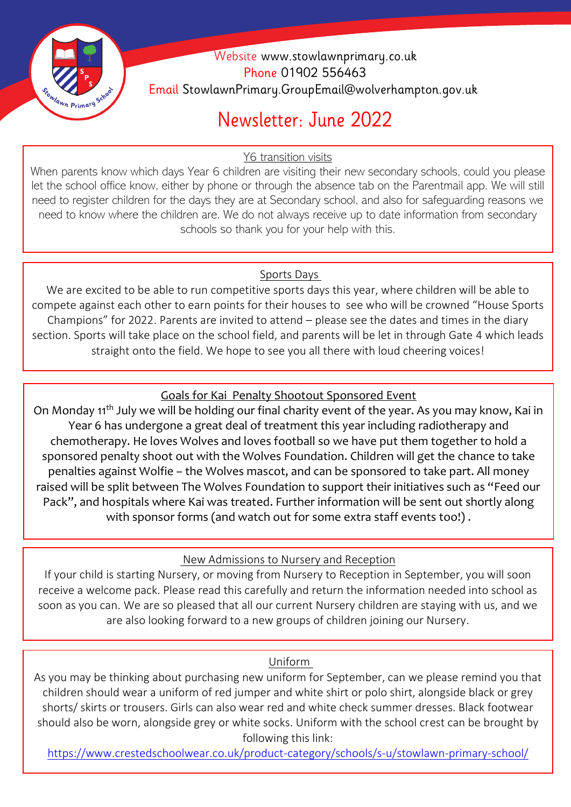

 Website [www.stowlawnprimary.co.uk](http://www.stowlawnprimary.co.uk/)  Phone 01902 556463 Email StowlawnPrimary.GroupEmail@wolverhampton.gov.uk

# Newsletter: June 2022

Y6 transition visits

When parents know which days Year 6 children are visiting their new secondary schools, could you please let the school office know, either by phone or through the absence tab on the Parentmail app. We will still need to register children for the days they are at Secondary school, and also for safeguarding reasons we need to know where the children are. We do not always receive up to date information from secondary schools so thank you for your help with this.

#### Sports Days L

We are excited to be able to run competitive sports days this year, where children will be able to compete against each other to earn points for their houses to see who will be crowned "House Sports Champions" for 2022. Parents are invited to attend – please see the dates and times in the diary section. Sports will take place on the school field, and parents will be let in through Gate 4 which leads straight onto the field. We hope to see you all there with loud cheering voices!

### Goals for Kai Penalty Shootout Sponsored Event

On Monday 11<sup>th</sup> July we will be holding our final charity event of the year. As you may know, Kai in Year 6 has undergone a great deal of treatment this year including radiotherapy and chemotherapy. He loves Wolves and loves football so we have put them together to hold a sponsored penalty shoot out with the Wolves Foundation. Children will get the chance to take penalties against Wolfie – the Wolves mascot, and can be sponsored to take part. All money raised will be split between The Wolves Foundation to support their initiatives such as "Feed our Pack", and hospitals where Kai was treated. Further information will be sent out shortly along with sponsor forms (and watch out for some extra staff events too!).

### New Admissions to Nursery and Reception

If your child is starting Nursery, or moving from Nursery to Reception in September, you will soon receive a welcome pack. Please read this carefully and return the information needed into school as soon as you can. We are so pleased that all our current Nursery children are staying with us, and we are also looking forward to a new groups of children joining our Nursery.

#### Uniform

As you may be thinking about purchasing new uniform for September, can we please remind you that children should wear a uniform of red jumper and white shirt or polo shirt, alongside black or grey shorts/ skirts or trousers. Girls can also wear red and white check summer dresses. Black footwear should also be worn, alongside grey or white socks. Uniform with the school crest can be brought by following this link:

<https://www.crestedschoolwear.co.uk/product-category/schools/s-u/stowlawn-primary-school/>